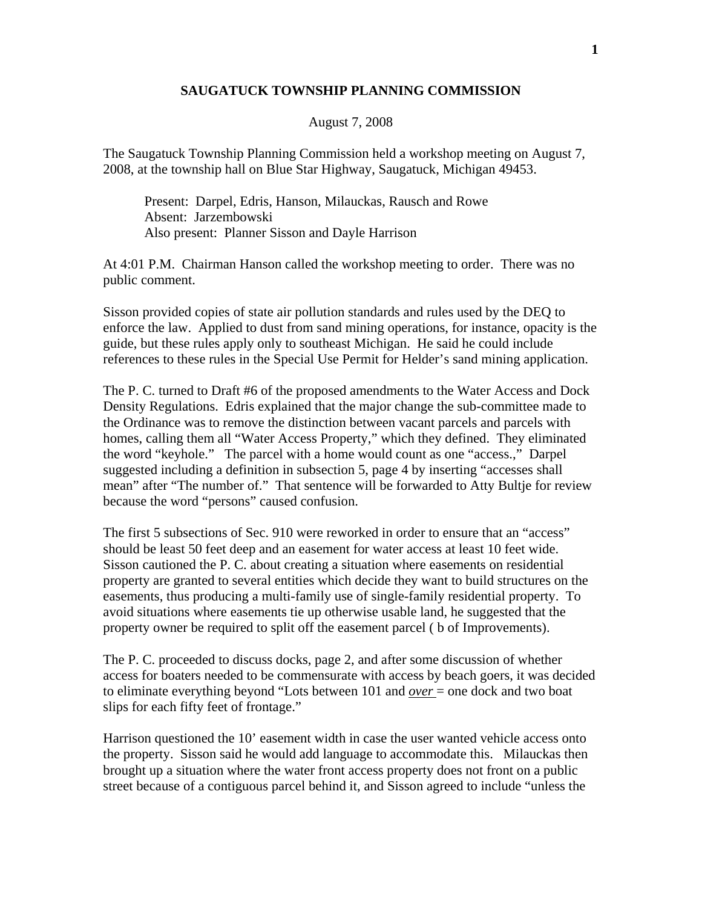## **SAUGATUCK TOWNSHIP PLANNING COMMISSION**

## August 7, 2008

The Saugatuck Township Planning Commission held a workshop meeting on August 7, 2008, at the township hall on Blue Star Highway, Saugatuck, Michigan 49453.

 Present: Darpel, Edris, Hanson, Milauckas, Rausch and Rowe Absent: Jarzembowski Also present: Planner Sisson and Dayle Harrison

At 4:01 P.M. Chairman Hanson called the workshop meeting to order. There was no public comment.

Sisson provided copies of state air pollution standards and rules used by the DEQ to enforce the law. Applied to dust from sand mining operations, for instance, opacity is the guide, but these rules apply only to southeast Michigan. He said he could include references to these rules in the Special Use Permit for Helder's sand mining application.

The P. C. turned to Draft #6 of the proposed amendments to the Water Access and Dock Density Regulations. Edris explained that the major change the sub-committee made to the Ordinance was to remove the distinction between vacant parcels and parcels with homes, calling them all "Water Access Property," which they defined. They eliminated the word "keyhole." The parcel with a home would count as one "access.," Darpel suggested including a definition in subsection 5, page 4 by inserting "accesses shall mean" after "The number of." That sentence will be forwarded to Atty Bultje for review because the word "persons" caused confusion.

The first 5 subsections of Sec. 910 were reworked in order to ensure that an "access" should be least 50 feet deep and an easement for water access at least 10 feet wide. Sisson cautioned the P. C. about creating a situation where easements on residential property are granted to several entities which decide they want to build structures on the easements, thus producing a multi-family use of single-family residential property. To avoid situations where easements tie up otherwise usable land, he suggested that the property owner be required to split off the easement parcel ( b of Improvements).

The P. C. proceeded to discuss docks, page 2, and after some discussion of whether access for boaters needed to be commensurate with access by beach goers, it was decided to eliminate everything beyond "Lots between 101 and *over* = one dock and two boat slips for each fifty feet of frontage."

Harrison questioned the 10' easement width in case the user wanted vehicle access onto the property. Sisson said he would add language to accommodate this. Milauckas then brought up a situation where the water front access property does not front on a public street because of a contiguous parcel behind it, and Sisson agreed to include "unless the